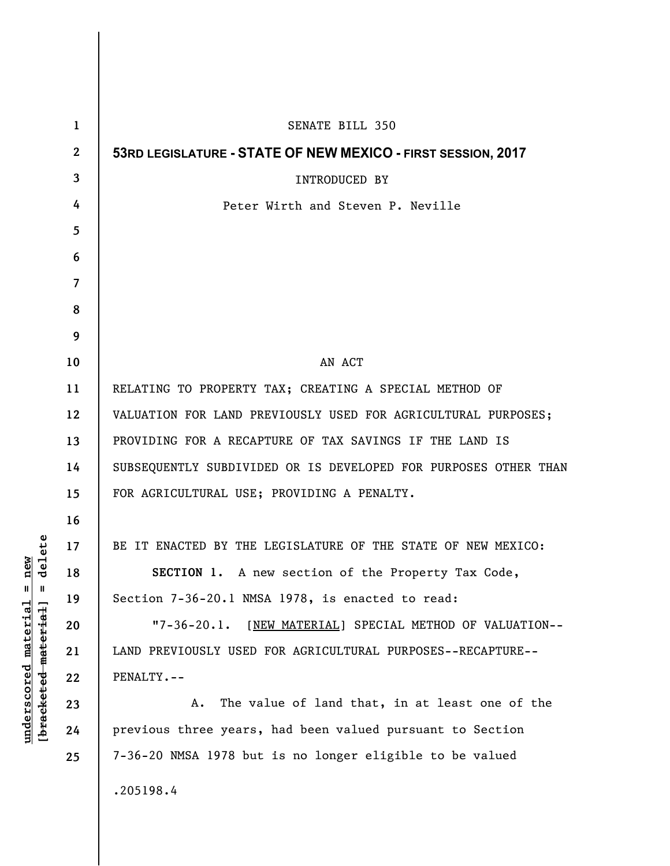| $\mathbf{1}$     | SENATE BILL 350                                                 |
|------------------|-----------------------------------------------------------------|
| $\boldsymbol{2}$ | 53RD LEGISLATURE - STATE OF NEW MEXICO - FIRST SESSION, 2017    |
| 3                | <b>INTRODUCED BY</b>                                            |
| 4                | Peter Wirth and Steven P. Neville                               |
| 5                |                                                                 |
| 6                |                                                                 |
| $\overline{7}$   |                                                                 |
| 8                |                                                                 |
| 9                |                                                                 |
| 10               | AN ACT                                                          |
| 11               | RELATING TO PROPERTY TAX; CREATING A SPECIAL METHOD OF          |
| 12               | VALUATION FOR LAND PREVIOUSLY USED FOR AGRICULTURAL PURPOSES;   |
| 13               | PROVIDING FOR A RECAPTURE OF TAX SAVINGS IF THE LAND IS         |
| 14               | SUBSEQUENTLY SUBDIVIDED OR IS DEVELOPED FOR PURPOSES OTHER THAN |
| 15               | FOR AGRICULTURAL USE; PROVIDING A PENALTY.                      |
| 16               |                                                                 |
| 17               | BE IT ENACTED BY THE LEGISLATURE OF THE STATE OF NEW MEXICO:    |
| 18               | SECTION 1. A new section of the Property Tax Code,              |
| 19               | Section 7-36-20.1 NMSA 1978, is enacted to read:                |
| 20               | "7-36-20.1. [NEW MATERIAL] SPECIAL METHOD OF VALUATION--        |
| 21               | LAND PREVIOUSLY USED FOR AGRICULTURAL PURPOSES--RECAPTURE--     |
| 22               | PENALTY.--                                                      |
| 23               | The value of land that, in at least one of the<br>Α.            |
| 24               | previous three years, had been valued pursuant to Section       |
| 25               | 7-36-20 NMSA 1978 but is no longer eligible to be valued        |
|                  | .205198.4                                                       |

**underscored material = new [bracketed material] = delete**

 $[**bracket eted metert et**] = **del et e**$  $underscored material = new$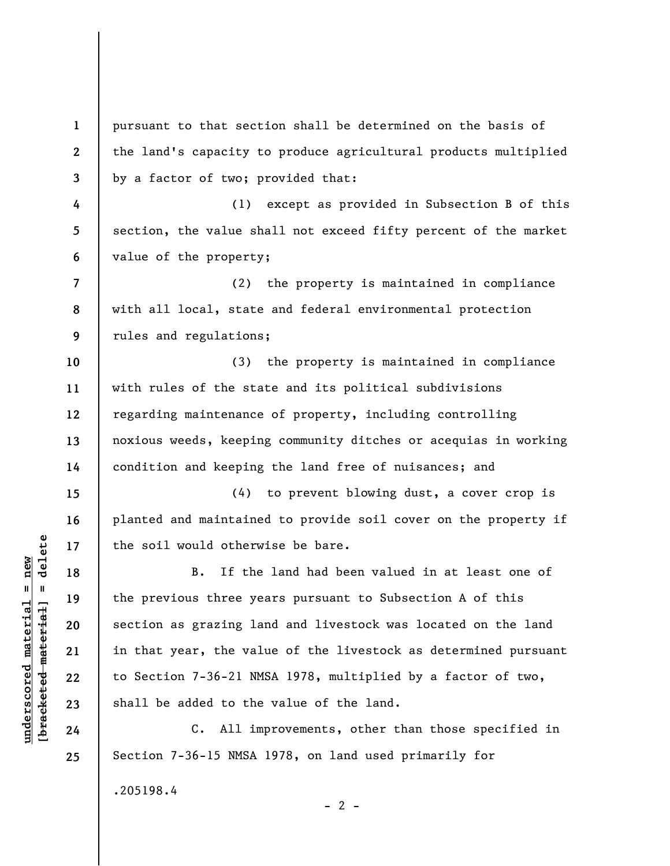**1 2 3 4 5 6 7 8 9 10 11 12 13 14 15 16 17 18 19 20 21 22 23 24 25**  pursuant to that section shall be determined on the basis of the land's capacity to produce agricultural products multiplied by a factor of two; provided that: (1) except as provided in Subsection B of this section, the value shall not exceed fifty percent of the market value of the property; (2) the property is maintained in compliance with all local, state and federal environmental protection rules and regulations; (3) the property is maintained in compliance with rules of the state and its political subdivisions regarding maintenance of property, including controlling noxious weeds, keeping community ditches or acequias in working condition and keeping the land free of nuisances; and (4) to prevent blowing dust, a cover crop is planted and maintained to provide soil cover on the property if the soil would otherwise be bare. B. If the land had been valued in at least one of the previous three years pursuant to Subsection A of this section as grazing land and livestock was located on the land in that year, the value of the livestock as determined pursuant to Section 7-36-21 NMSA 1978, multiplied by a factor of two, shall be added to the value of the land. C. All improvements, other than those specified in Section 7-36-15 NMSA 1978, on land used primarily for .205198.4

 $\frac{1}{2}$  of  $\frac{1}{2}$  and  $\frac{1}{2}$  and  $\frac{1}{2}$  and  $\frac{1}{2}$  and  $\frac{1}{2}$  and  $\frac{1}{2}$  and  $\frac{1}{2}$  and  $\frac{1}{2}$  and  $\frac{1}{2}$  and  $\frac{1}{2}$  and  $\frac{1}{2}$  and  $\frac{1}{2}$  and  $\frac{1}{2}$  and  $\frac{1}{2}$  and  $\frac{1}{2}$  an **[bracketed material] = delete**  $underscored material = new$ **underscored material = new**

 $- 2 -$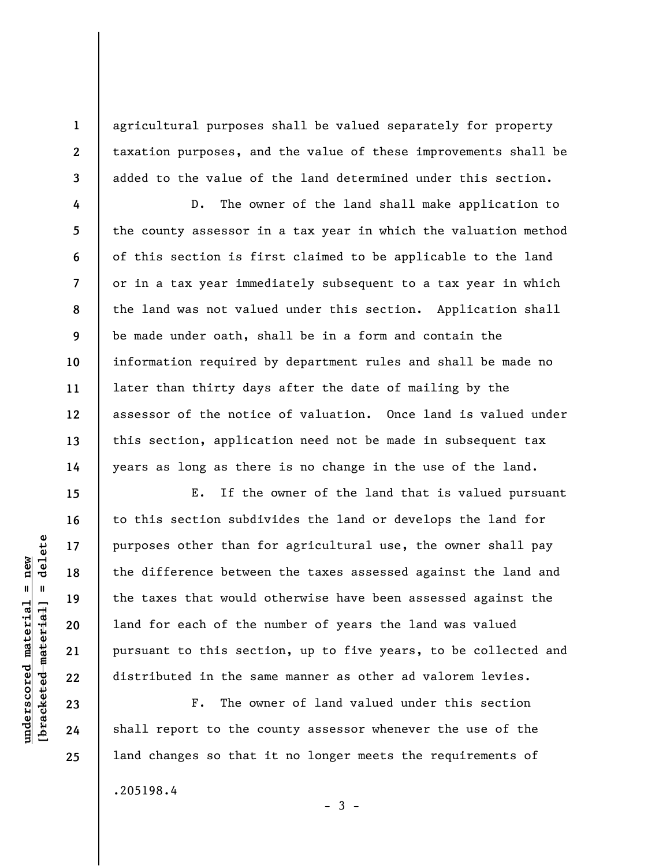agricultural purposes shall be valued separately for property taxation purposes, and the value of these improvements shall be added to the value of the land determined under this section.

D. The owner of the land shall make application to the county assessor in a tax year in which the valuation method of this section is first claimed to be applicable to the land or in a tax year immediately subsequent to a tax year in which the land was not valued under this section. Application shall be made under oath, shall be in a form and contain the information required by department rules and shall be made no later than thirty days after the date of mailing by the assessor of the notice of valuation. Once land is valued under this section, application need not be made in subsequent tax years as long as there is no change in the use of the land.

E. If the owner of the land that is valued pursuant to this section subdivides the land or develops the land for purposes other than for agricultural use, the owner shall pay the difference between the taxes assessed against the land and the taxes that would otherwise have been assessed against the land for each of the number of years the land was valued pursuant to this section, up to five years, to be collected and distributed in the same manner as other ad valorem levies.

F. The owner of land valued under this section shall report to the county assessor whenever the use of the land changes so that it no longer meets the requirements of .205198.4

 $-3 -$ 

 $\frac{1}{2}$  of  $\frac{1}{2}$  and  $\frac{1}{2}$  and  $\frac{1}{2}$  and  $\frac{1}{2}$  and  $\frac{1}{2}$  and  $\frac{1}{2}$  and  $\frac{1}{2}$  and  $\frac{1}{2}$  and  $\frac{1}{2}$  and  $\frac{1}{2}$  and  $\frac{1}{2}$  and  $\frac{1}{2}$  and  $\frac{1}{2}$  and  $\frac{1}{2}$  and  $\frac{1}{2}$  an **[bracketed material] = delete**  $underscored$  material = new **underscored material = new**

**1** 

**2** 

**3** 

**4** 

**5** 

**6** 

**7** 

**8** 

**9** 

**10** 

**11** 

**12** 

**13** 

**14** 

**15** 

**16** 

**17** 

**18** 

**19** 

**20** 

**21** 

**22** 

**23** 

**24** 

**25**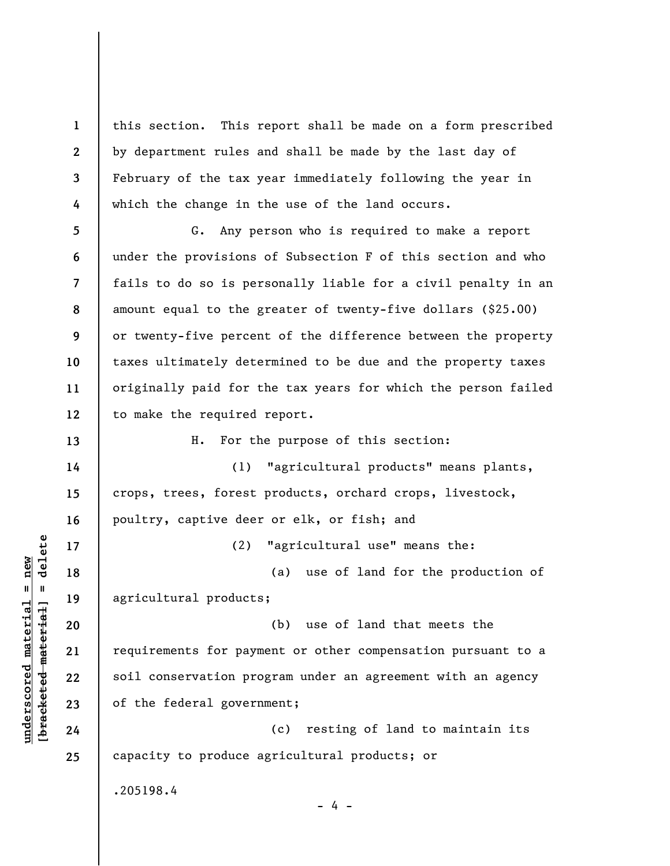**1 2 3 4**  this section. This report shall be made on a form prescribed by department rules and shall be made by the last day of February of the tax year immediately following the year in which the change in the use of the land occurs.

**5 6 7 8 9 10 11 12**  G. Any person who is required to make a report under the provisions of Subsection F of this section and who fails to do so is personally liable for a civil penalty in an amount equal to the greater of twenty-five dollars (\$25.00) or twenty-five percent of the difference between the property taxes ultimately determined to be due and the property taxes originally paid for the tax years for which the person failed to make the required report.

H. For the purpose of this section:

(1) "agricultural products" means plants, crops, trees, forest products, orchard crops, livestock, poultry, captive deer or elk, or fish; and

(a) use of land for the production of agricultural products;

(2) "agricultural use" means the:

(b) use of land that meets the requirements for payment or other compensation pursuant to a soil conservation program under an agreement with an agency of the federal government;

(c) resting of land to maintain its capacity to produce agricultural products; or

 $- 4 -$ 

.205198.4

 $\frac{1}{2}$  intereted material = delete **[bracketed material] = delete**  $anderscored material = new$ **underscored material = new**

**13** 

**14** 

**15** 

**16** 

**17** 

**18** 

**19** 

**20** 

**21** 

**22** 

**23** 

**24** 

**25**